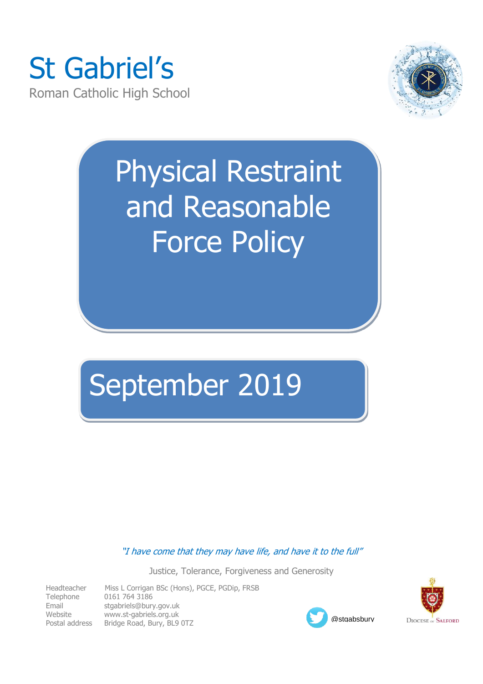



# Physical Restraint and Reasonable Force Policy

## September 2019

"I have come that they may have life, and have it to the full"

Justice, Tolerance, Forgiveness and Generosity

| Headteacher    | Miss L Corrigan BSc (Hons), PGCE, PGDip, FRSB |
|----------------|-----------------------------------------------|
| Telephone      | 0161 764 3186                                 |
| Email          | stgabriels@bury.gov.uk                        |
| Website        | www.st-gabriels.org.uk                        |
| Postal address | Bridge Road, Bury, BL9 0TZ                    |



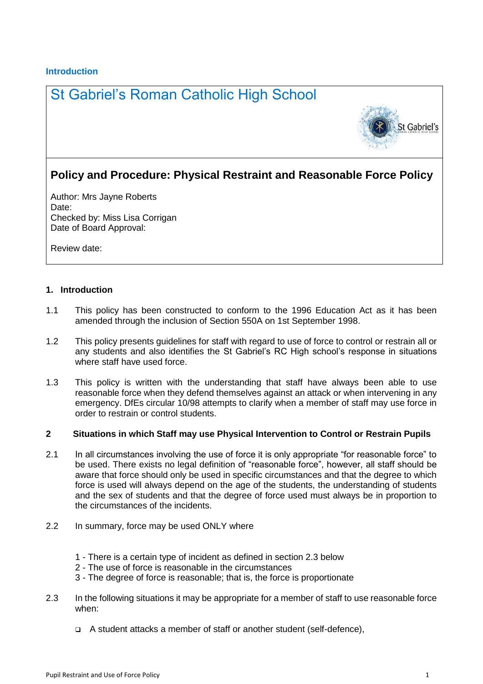#### **Introduction**

### St Gabriel's Roman Catholic High School



### **Policy and Procedure: Physical Restraint and Reasonable Force Policy**

Author: Mrs Jayne Roberts Date: Checked by: Miss Lisa Corrigan Date of Board Approval:

Review date:

#### **1. Introduction**

- 1.1 This policy has been constructed to conform to the 1996 Education Act as it has been amended through the inclusion of Section 550A on 1st September 1998.
- 1.2 This policy presents guidelines for staff with regard to use of force to control or restrain all or any students and also identifies the St Gabriel's RC High school's response in situations where staff have used force.
- 1.3 This policy is written with the understanding that staff have always been able to use reasonable force when they defend themselves against an attack or when intervening in any emergency. DfEs circular 10/98 attempts to clarify when a member of staff may use force in order to restrain or control students.

#### **2 Situations in which Staff may use Physical Intervention to Control or Restrain Pupils**

- 2.1 In all circumstances involving the use of force it is only appropriate "for reasonable force" to be used. There exists no legal definition of "reasonable force", however, all staff should be aware that force should only be used in specific circumstances and that the degree to which force is used will always depend on the age of the students, the understanding of students and the sex of students and that the degree of force used must always be in proportion to the circumstances of the incidents.
- 2.2 In summary, force may be used ONLY where
	- 1 There is a certain type of incident as defined in section 2.3 below
	- 2 The use of force is reasonable in the circumstances
	- 3 The degree of force is reasonable; that is, the force is proportionate
- 2.3 In the following situations it may be appropriate for a member of staff to use reasonable force when:
	- A student attacks a member of staff or another student (self-defence),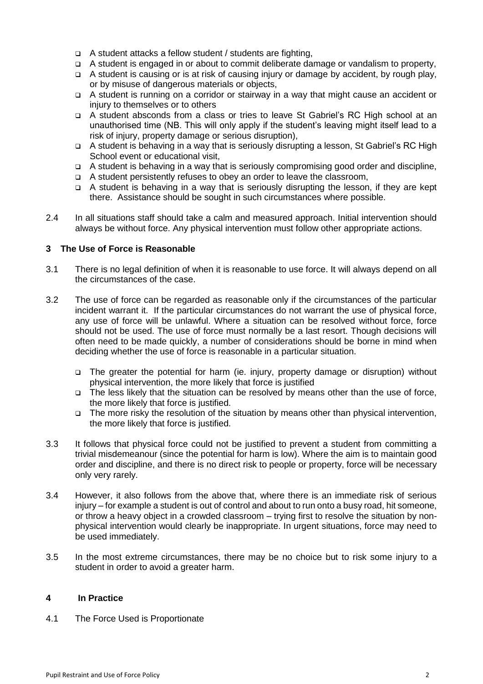- $\Box$  A student attacks a fellow student / students are fighting,
- A student is engaged in or about to commit deliberate damage or vandalism to property,
- A student is causing or is at risk of causing injury or damage by accident, by rough play, or by misuse of dangerous materials or objects,
- A student is running on a corridor or stairway in a way that might cause an accident or injury to themselves or to others
- A student absconds from a class or tries to leave St Gabriel's RC High school at an unauthorised time (NB. This will only apply if the student's leaving might itself lead to a risk of injury, property damage or serious disruption),
- A student is behaving in a way that is seriously disrupting a lesson, St Gabriel's RC High School event or educational visit,
- A student is behaving in a way that is seriously compromising good order and discipline,
- A student persistently refuses to obey an order to leave the classroom,
- A student is behaving in a way that is seriously disrupting the lesson, if they are kept there. Assistance should be sought in such circumstances where possible.
- 2.4 In all situations staff should take a calm and measured approach. Initial intervention should always be without force. Any physical intervention must follow other appropriate actions.

#### **3 The Use of Force is Reasonable**

- 3.1 There is no legal definition of when it is reasonable to use force. It will always depend on all the circumstances of the case.
- 3.2 The use of force can be regarded as reasonable only if the circumstances of the particular incident warrant it. If the particular circumstances do not warrant the use of physical force, any use of force will be unlawful. Where a situation can be resolved without force, force should not be used. The use of force must normally be a last resort. Though decisions will often need to be made quickly, a number of considerations should be borne in mind when deciding whether the use of force is reasonable in a particular situation.
	- The greater the potential for harm (ie. injury, property damage or disruption) without physical intervention, the more likely that force is justified
	- The less likely that the situation can be resolved by means other than the use of force, the more likely that force is justified.
	- The more risky the resolution of the situation by means other than physical intervention, the more likely that force is justified.
- 3.3 It follows that physical force could not be justified to prevent a student from committing a trivial misdemeanour (since the potential for harm is low). Where the aim is to maintain good order and discipline, and there is no direct risk to people or property, force will be necessary only very rarely.
- 3.4 However, it also follows from the above that, where there is an immediate risk of serious injury – for example a student is out of control and about to run onto a busy road, hit someone, or throw a heavy object in a crowded classroom – trying first to resolve the situation by nonphysical intervention would clearly be inappropriate. In urgent situations, force may need to be used immediately.
- 3.5 In the most extreme circumstances, there may be no choice but to risk some injury to a student in order to avoid a greater harm.

#### **4 In Practice**

4.1 The Force Used is Proportionate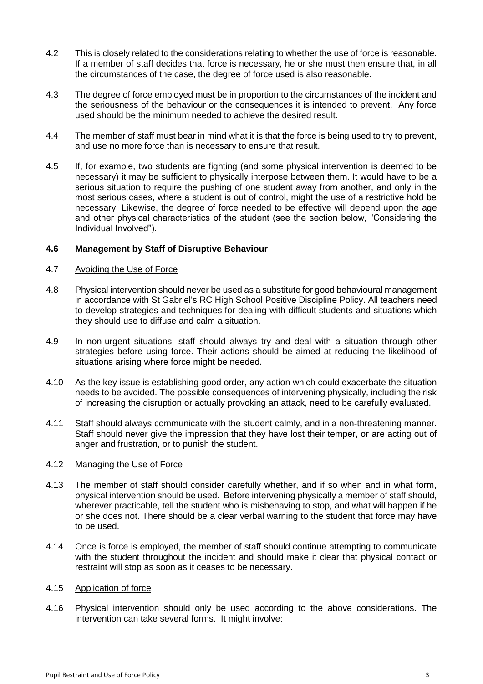- 4.2 This is closely related to the considerations relating to whether the use of force is reasonable. If a member of staff decides that force is necessary, he or she must then ensure that, in all the circumstances of the case, the degree of force used is also reasonable.
- 4.3 The degree of force employed must be in proportion to the circumstances of the incident and the seriousness of the behaviour or the consequences it is intended to prevent. Any force used should be the minimum needed to achieve the desired result.
- 4.4 The member of staff must bear in mind what it is that the force is being used to try to prevent, and use no more force than is necessary to ensure that result.
- 4.5 If, for example, two students are fighting (and some physical intervention is deemed to be necessary) it may be sufficient to physically interpose between them. It would have to be a serious situation to require the pushing of one student away from another, and only in the most serious cases, where a student is out of control, might the use of a restrictive hold be necessary. Likewise, the degree of force needed to be effective will depend upon the age and other physical characteristics of the student (see the section below, "Considering the Individual Involved").

#### **4.6 Management by Staff of Disruptive Behaviour**

#### 4.7 Avoiding the Use of Force

- 4.8 Physical intervention should never be used as a substitute for good behavioural management in accordance with St Gabriel's RC High School Positive Discipline Policy. All teachers need to develop strategies and techniques for dealing with difficult students and situations which they should use to diffuse and calm a situation.
- 4.9 In non-urgent situations, staff should always try and deal with a situation through other strategies before using force. Their actions should be aimed at reducing the likelihood of situations arising where force might be needed.
- 4.10 As the key issue is establishing good order, any action which could exacerbate the situation needs to be avoided. The possible consequences of intervening physically, including the risk of increasing the disruption or actually provoking an attack, need to be carefully evaluated.
- 4.11 Staff should always communicate with the student calmly, and in a non-threatening manner. Staff should never give the impression that they have lost their temper, or are acting out of anger and frustration, or to punish the student.

#### 4.12 Managing the Use of Force

- 4.13 The member of staff should consider carefully whether, and if so when and in what form, physical intervention should be used. Before intervening physically a member of staff should, wherever practicable, tell the student who is misbehaving to stop, and what will happen if he or she does not. There should be a clear verbal warning to the student that force may have to be used.
- 4.14 Once is force is employed, the member of staff should continue attempting to communicate with the student throughout the incident and should make it clear that physical contact or restraint will stop as soon as it ceases to be necessary.

#### 4.15 Application of force

4.16 Physical intervention should only be used according to the above considerations. The intervention can take several forms. It might involve: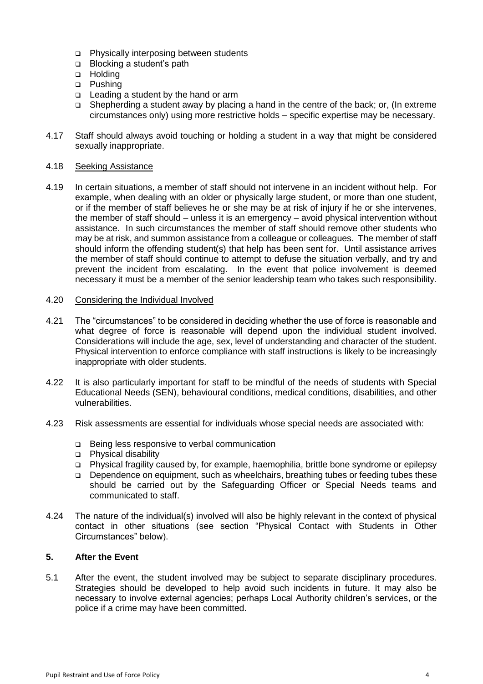- Physically interposing between students
- □ Blocking a student's path
- **D** Holding
- □ Pushing
- $\Box$  Leading a student by the hand or arm
- Shepherding a student away by placing a hand in the centre of the back; or, (In extreme circumstances only) using more restrictive holds – specific expertise may be necessary.
- 4.17 Staff should always avoid touching or holding a student in a way that might be considered sexually inappropriate.

#### 4.18 Seeking Assistance

4.19 In certain situations, a member of staff should not intervene in an incident without help. For example, when dealing with an older or physically large student, or more than one student, or if the member of staff believes he or she may be at risk of injury if he or she intervenes, the member of staff should – unless it is an emergency – avoid physical intervention without assistance. In such circumstances the member of staff should remove other students who may be at risk, and summon assistance from a colleague or colleagues. The member of staff should inform the offending student(s) that help has been sent for. Until assistance arrives the member of staff should continue to attempt to defuse the situation verbally, and try and prevent the incident from escalating. In the event that police involvement is deemed necessary it must be a member of the senior leadership team who takes such responsibility.

#### 4.20 Considering the Individual Involved

- 4.21 The "circumstances" to be considered in deciding whether the use of force is reasonable and what degree of force is reasonable will depend upon the individual student involved. Considerations will include the age, sex, level of understanding and character of the student. Physical intervention to enforce compliance with staff instructions is likely to be increasingly inappropriate with older students.
- 4.22 It is also particularly important for staff to be mindful of the needs of students with Special Educational Needs (SEN), behavioural conditions, medical conditions, disabilities, and other vulnerabilities.
- 4.23 Risk assessments are essential for individuals whose special needs are associated with:
	- □ Being less responsive to verbal communication
	- Physical disability
	- Physical fragility caused by, for example, haemophilia, brittle bone syndrome or epilepsy
	- Dependence on equipment, such as wheelchairs, breathing tubes or feeding tubes these should be carried out by the Safeguarding Officer or Special Needs teams and communicated to staff.
- 4.24 The nature of the individual(s) involved will also be highly relevant in the context of physical contact in other situations (see section "Physical Contact with Students in Other Circumstances" below).

#### **5. After the Event**

5.1 After the event, the student involved may be subject to separate disciplinary procedures. Strategies should be developed to help avoid such incidents in future. It may also be necessary to involve external agencies; perhaps Local Authority children's services, or the police if a crime may have been committed.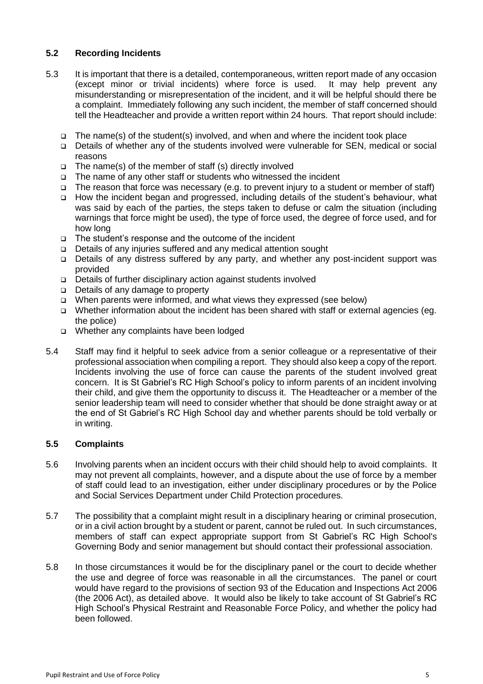#### **5.2 Recording Incidents**

- 5.3 It is important that there is a detailed, contemporaneous, written report made of any occasion (except minor or trivial incidents) where force is used. It may help prevent any misunderstanding or misrepresentation of the incident, and it will be helpful should there be a complaint. Immediately following any such incident, the member of staff concerned should tell the Headteacher and provide a written report within 24 hours. That report should include:
	- $\Box$  The name(s) of the student(s) involved, and when and where the incident took place
	- Details of whether any of the students involved were vulnerable for SEN, medical or social reasons
	- $\Box$  The name(s) of the member of staff (s) directly involved
	- $\Box$  The name of any other staff or students who witnessed the incident
	- The reason that force was necessary (e.g. to prevent injury to a student or member of staff)
	- How the incident began and progressed, including details of the student's behaviour, what was said by each of the parties, the steps taken to defuse or calm the situation (including warnings that force might be used), the type of force used, the degree of force used, and for how long
	- The student's response and the outcome of the incident
	- Details of any injuries suffered and any medical attention sought
	- Details of any distress suffered by any party, and whether any post-incident support was provided
	- Details of further disciplinary action against students involved
	- □ Details of any damage to property
	- When parents were informed, and what views they expressed (see below)
	- Whether information about the incident has been shared with staff or external agencies (eg. the police)
	- Whether any complaints have been lodged
- 5.4 Staff may find it helpful to seek advice from a senior colleague or a representative of their professional association when compiling a report. They should also keep a copy of the report. Incidents involving the use of force can cause the parents of the student involved great concern. It is St Gabriel's RC High School's policy to inform parents of an incident involving their child, and give them the opportunity to discuss it. The Headteacher or a member of the senior leadership team will need to consider whether that should be done straight away or at the end of St Gabriel's RC High School day and whether parents should be told verbally or in writing.

#### **5.5 Complaints**

- 5.6 Involving parents when an incident occurs with their child should help to avoid complaints. It may not prevent all complaints, however, and a dispute about the use of force by a member of staff could lead to an investigation, either under disciplinary procedures or by the Police and Social Services Department under Child Protection procedures.
- 5.7 The possibility that a complaint might result in a disciplinary hearing or criminal prosecution, or in a civil action brought by a student or parent, cannot be ruled out. In such circumstances, members of staff can expect appropriate support from St Gabriel's RC High School's Governing Body and senior management but should contact their professional association.
- 5.8 In those circumstances it would be for the disciplinary panel or the court to decide whether the use and degree of force was reasonable in all the circumstances. The panel or court would have regard to the provisions of section 93 of the Education and Inspections Act 2006 (the 2006 Act), as detailed above. It would also be likely to take account of St Gabriel's RC High School's Physical Restraint and Reasonable Force Policy, and whether the policy had been followed.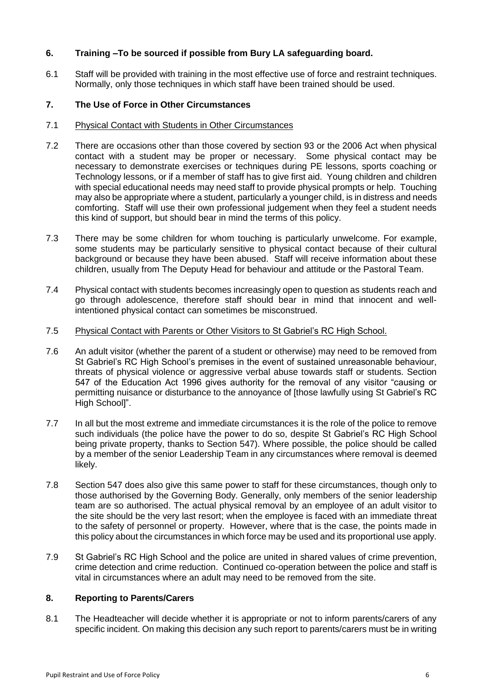#### **6. Training –To be sourced if possible from Bury LA safeguarding board.**

6.1 Staff will be provided with training in the most effective use of force and restraint techniques. Normally, only those techniques in which staff have been trained should be used.

#### **7. The Use of Force in Other Circumstances**

#### 7.1 Physical Contact with Students in Other Circumstances

- 7.2 There are occasions other than those covered by section 93 or the 2006 Act when physical contact with a student may be proper or necessary. Some physical contact may be necessary to demonstrate exercises or techniques during PE lessons, sports coaching or Technology lessons, or if a member of staff has to give first aid. Young children and children with special educational needs may need staff to provide physical prompts or help. Touching may also be appropriate where a student, particularly a younger child, is in distress and needs comforting. Staff will use their own professional judgement when they feel a student needs this kind of support, but should bear in mind the terms of this policy.
- 7.3 There may be some children for whom touching is particularly unwelcome. For example, some students may be particularly sensitive to physical contact because of their cultural background or because they have been abused. Staff will receive information about these children, usually from The Deputy Head for behaviour and attitude or the Pastoral Team.
- 7.4 Physical contact with students becomes increasingly open to question as students reach and go through adolescence, therefore staff should bear in mind that innocent and wellintentioned physical contact can sometimes be misconstrued.

#### 7.5 Physical Contact with Parents or Other Visitors to St Gabriel's RC High School.

- 7.6 An adult visitor (whether the parent of a student or otherwise) may need to be removed from St Gabriel's RC High School's premises in the event of sustained unreasonable behaviour, threats of physical violence or aggressive verbal abuse towards staff or students. Section 547 of the Education Act 1996 gives authority for the removal of any visitor "causing or permitting nuisance or disturbance to the annoyance of [those lawfully using St Gabriel's RC High School]".
- 7.7 In all but the most extreme and immediate circumstances it is the role of the police to remove such individuals (the police have the power to do so, despite St Gabriel's RC High School being private property, thanks to Section 547). Where possible, the police should be called by a member of the senior Leadership Team in any circumstances where removal is deemed likely.
- 7.8 Section 547 does also give this same power to staff for these circumstances, though only to those authorised by the Governing Body. Generally, only members of the senior leadership team are so authorised. The actual physical removal by an employee of an adult visitor to the site should be the very last resort; when the employee is faced with an immediate threat to the safety of personnel or property. However, where that is the case, the points made in this policy about the circumstances in which force may be used and its proportional use apply.
- 7.9 St Gabriel's RC High School and the police are united in shared values of crime prevention, crime detection and crime reduction. Continued co-operation between the police and staff is vital in circumstances where an adult may need to be removed from the site.

#### **8. Reporting to Parents/Carers**

8.1 The Headteacher will decide whether it is appropriate or not to inform parents/carers of any specific incident. On making this decision any such report to parents/carers must be in writing